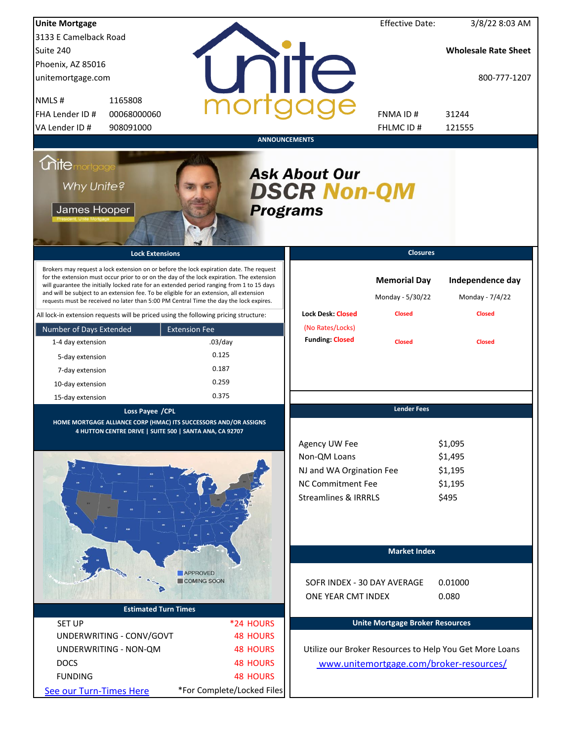| <b>Unite Mortgage</b>                                            |                                                                                                                                                                                                                                                                                                                                                                                                                                                                        |                            |                                                                                                                          | <b>Effective Date:</b>                                   | 3/8/22 8:03 AM                                       |  |  |  |
|------------------------------------------------------------------|------------------------------------------------------------------------------------------------------------------------------------------------------------------------------------------------------------------------------------------------------------------------------------------------------------------------------------------------------------------------------------------------------------------------------------------------------------------------|----------------------------|--------------------------------------------------------------------------------------------------------------------------|----------------------------------------------------------|------------------------------------------------------|--|--|--|
| 3133 E Camelback Road                                            |                                                                                                                                                                                                                                                                                                                                                                                                                                                                        |                            |                                                                                                                          |                                                          |                                                      |  |  |  |
| Suite 240                                                        |                                                                                                                                                                                                                                                                                                                                                                                                                                                                        |                            |                                                                                                                          |                                                          | <b>Wholesale Rate Sheet</b>                          |  |  |  |
| Phoenix, AZ 85016                                                |                                                                                                                                                                                                                                                                                                                                                                                                                                                                        |                            |                                                                                                                          |                                                          |                                                      |  |  |  |
| unitemortgage.com                                                |                                                                                                                                                                                                                                                                                                                                                                                                                                                                        |                            | <b>TITE</b>                                                                                                              |                                                          | 800-777-1207                                         |  |  |  |
| NMLS#<br>1165808                                                 |                                                                                                                                                                                                                                                                                                                                                                                                                                                                        |                            |                                                                                                                          |                                                          |                                                      |  |  |  |
| FHA Lender ID #                                                  | 00068000060                                                                                                                                                                                                                                                                                                                                                                                                                                                            |                            |                                                                                                                          | FNMA ID#                                                 | 31244                                                |  |  |  |
| VA Lender ID #                                                   | 908091000                                                                                                                                                                                                                                                                                                                                                                                                                                                              |                            |                                                                                                                          | FHLMC ID#                                                | 121555                                               |  |  |  |
|                                                                  |                                                                                                                                                                                                                                                                                                                                                                                                                                                                        | <b>ANNOUNCEMENTS</b>       |                                                                                                                          |                                                          |                                                      |  |  |  |
| <i><u><b>Chitemortgage</b></u></i><br>Why Unite?<br>James Hooper |                                                                                                                                                                                                                                                                                                                                                                                                                                                                        | <b>Programs</b>            | <b>Ask About Our</b><br><b>DSCR Non-QM</b>                                                                               |                                                          |                                                      |  |  |  |
|                                                                  | <b>Lock Extensions</b>                                                                                                                                                                                                                                                                                                                                                                                                                                                 |                            |                                                                                                                          | <b>Closures</b>                                          |                                                      |  |  |  |
|                                                                  | Brokers may request a lock extension on or before the lock expiration date. The request<br>for the extension must occur prior to or on the day of the lock expiration. The extension<br>will guarantee the initially locked rate for an extended period ranging from 1 to 15 days<br>and will be subject to an extension fee. To be eligible for an extension, all extension<br>requests must be received no later than 5:00 PM Central Time the day the lock expires. |                            | <b>Lock Desk: Closed</b>                                                                                                 | <b>Memorial Day</b><br>Monday - 5/30/22<br><b>Closed</b> | Independence day<br>Monday - 7/4/22<br><b>Closed</b> |  |  |  |
|                                                                  | All lock-in extension requests will be priced using the following pricing structure:                                                                                                                                                                                                                                                                                                                                                                                   |                            |                                                                                                                          |                                                          |                                                      |  |  |  |
| Number of Days Extended                                          | <b>Extension Fee</b>                                                                                                                                                                                                                                                                                                                                                                                                                                                   |                            | (No Rates/Locks)<br><b>Funding: Closed</b>                                                                               |                                                          |                                                      |  |  |  |
| 1-4 day extension                                                | $.03$ /day                                                                                                                                                                                                                                                                                                                                                                                                                                                             |                            |                                                                                                                          | <b>Closed</b>                                            | <b>Closed</b>                                        |  |  |  |
| 5-day extension                                                  | 0.125                                                                                                                                                                                                                                                                                                                                                                                                                                                                  |                            |                                                                                                                          |                                                          |                                                      |  |  |  |
| 7-day extension                                                  | 0.187                                                                                                                                                                                                                                                                                                                                                                                                                                                                  |                            |                                                                                                                          |                                                          |                                                      |  |  |  |
| 10-day extension                                                 | 0.259                                                                                                                                                                                                                                                                                                                                                                                                                                                                  |                            |                                                                                                                          |                                                          |                                                      |  |  |  |
| 15-day extension                                                 | 0.375                                                                                                                                                                                                                                                                                                                                                                                                                                                                  |                            |                                                                                                                          |                                                          |                                                      |  |  |  |
|                                                                  | Loss Payee / CPL<br>HOME MORTGAGE ALLIANCE CORP (HMAC) ITS SUCCESSORS AND/OR ASSIGNS<br>4 HUTTON CENTRE DRIVE   SUITE 500   SANTA ANA, CA 92707                                                                                                                                                                                                                                                                                                                        |                            | Agency UW Fee<br>Non-QM Loans<br>NJ and WA Orgination Fee<br><b>NC Commitment Fee</b><br><b>Streamlines &amp; IRRRLS</b> | <b>Lender Fees</b>                                       | \$1,095<br>\$1,495<br>\$1,195<br>\$1,195<br>\$495    |  |  |  |
|                                                                  |                                                                                                                                                                                                                                                                                                                                                                                                                                                                        |                            |                                                                                                                          | <b>Market Index</b>                                      |                                                      |  |  |  |
|                                                                  | <b>APPROVED</b>                                                                                                                                                                                                                                                                                                                                                                                                                                                        |                            |                                                                                                                          |                                                          |                                                      |  |  |  |
|                                                                  | COMING SOON                                                                                                                                                                                                                                                                                                                                                                                                                                                            |                            | SOFR INDEX - 30 DAY AVERAGE                                                                                              |                                                          | 0.01000                                              |  |  |  |
|                                                                  |                                                                                                                                                                                                                                                                                                                                                                                                                                                                        |                            | ONE YEAR CMT INDEX                                                                                                       |                                                          | 0.080                                                |  |  |  |
|                                                                  | <b>Estimated Turn Times</b>                                                                                                                                                                                                                                                                                                                                                                                                                                            |                            |                                                                                                                          |                                                          |                                                      |  |  |  |
| <b>SET UP</b>                                                    |                                                                                                                                                                                                                                                                                                                                                                                                                                                                        | *24 HOURS                  |                                                                                                                          | <b>Unite Mortgage Broker Resources</b>                   |                                                      |  |  |  |
| UNDERWRITING - CONV/GOVT                                         |                                                                                                                                                                                                                                                                                                                                                                                                                                                                        | <b>48 HOURS</b>            |                                                                                                                          |                                                          |                                                      |  |  |  |
| UNDERWRITING - NON-QM                                            |                                                                                                                                                                                                                                                                                                                                                                                                                                                                        | <b>48 HOURS</b>            | Utilize our Broker Resources to Help You Get More Loans                                                                  |                                                          |                                                      |  |  |  |
| <b>DOCS</b>                                                      |                                                                                                                                                                                                                                                                                                                                                                                                                                                                        | <b>48 HOURS</b>            |                                                                                                                          |                                                          | www.unitemortgage.com/broker-resources/              |  |  |  |
| <b>FUNDING</b>                                                   |                                                                                                                                                                                                                                                                                                                                                                                                                                                                        | <b>48 HOURS</b>            |                                                                                                                          |                                                          |                                                      |  |  |  |
| See our Turn-Times Here                                          |                                                                                                                                                                                                                                                                                                                                                                                                                                                                        | *For Complete/Locked Files |                                                                                                                          |                                                          |                                                      |  |  |  |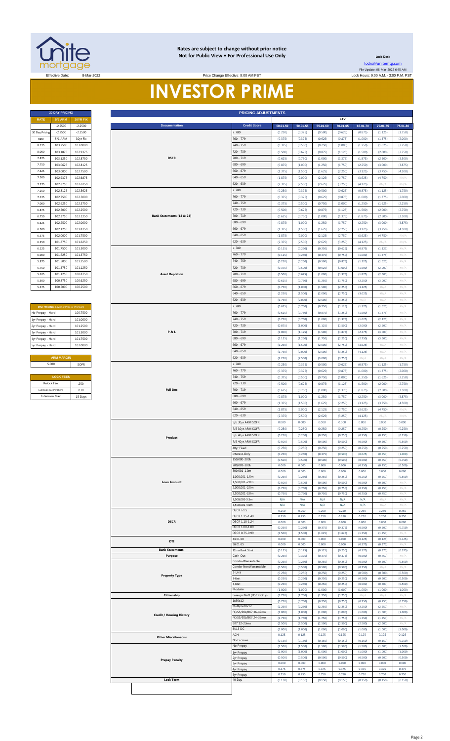

### **Rates are subject to change without prior notice Not for Public View • For Professional Use Only**

**Lock Desk** [locks@unitemtg](mailto:locks@unitemtg.com).com File Update: 08-Mar-2022 6:45 AM

Effective: 9:00 AM PST Change Effective: 9:00 AM PST Lock Hours: 9:00 A.M. - 3:00 P.M. PST

# **INVESTOR PRIME**

| <b>RATE</b>    | <b>5/6 ARM</b> | <b>30YR FIX</b> |
|----------------|----------------|-----------------|
|                | $-2.2500$      | $-2.2500$       |
| 30 Day Pricing | $-2.2500$      | $-2.2500$       |
| Rate           | 5/1 ARM        | 30yr Fix        |
| 8.125          | 103.2500       | 103,0000        |
| 8.000          | 103.1875       | 102.9375        |
| 7.875          | 103.1250       | 102.8750        |
| 7.750          | 103.0625       | 102.8125        |
| 7.625          | 103.0000       | 102.7500        |
| 7.500          | 102.9375       | 102.6875        |
| 7.375          | 102.8750       | 102.6250        |
| 7.250          | 102.8125       | 102.5625        |
| 7.125          | 102.7500       | 102.5000        |
| 7.000          | 102.6250       | 102.3750        |
| 6.875          | 102.5000       | 102.2500        |
| 6.750          | 102.3750       | 102.1250        |
| 6.625          | 102.2500       | 102.0000        |
| 6.500          | 102.1250       | 101.8750        |
| 6.375          | 102.0000       | 101.7500        |
| 6.250          | 101.8750       | 101.6250        |
| 6.125          | 101.7500       | 101.5000        |
| 6.000          | 101.6250       | 101.3750        |
| 5.875          | 101.5000       | 101.2500        |
| 5.750          | 101.3750       | 101.1250        |
| 5.625          | 101.1250       | 100.8750        |
| 5.500          | 100.8750       | 100.6250        |
| 5.375          | 100.5000       | 100.2500        |
|                |                |                 |

| <b>MAX PRICING</b> (Lower of Price or Premium) |          |
|------------------------------------------------|----------|
| No Prepay - Hard                               | 100.7500 |
| 1yr Prepay - Hard                              | 101.0000 |
| 2yr Prepay - Hard                              | 101 2500 |
| 3yr Prepay - Hard                              | 101.5000 |
| 4yr Prepay - Hard                              | 101 7500 |
| 5yr Prepay - Hard                              | 102.0000 |
|                                                |          |
| <b>ARM MARGIN</b>                              |          |
| 5.000                                          | SOFR     |
|                                                |          |
| <b>LOCK FEES</b>                               |          |
| Relock Fee:                                    | 250      |
| Extension Fee Per Diem:                        | 030      |
| <b>Extension Max:</b>                          | 15 Days  |

| <b>RATE</b>       | <b>30 DAY PRICING</b>                  |                        |  |  |  |  |  |  |  |  |  |  |
|-------------------|----------------------------------------|------------------------|--|--|--|--|--|--|--|--|--|--|
|                   | <b>5/6 ARM</b>                         | 30YR FIX               |  |  |  |  |  |  |  |  |  |  |
| 30 Day Pricin     | $-2.2500$<br>$-2.2500$                 | $-2.2500$<br>$-2.2500$ |  |  |  |  |  |  |  |  |  |  |
| Rate              | 5/1 ARM                                | 30yr Fix               |  |  |  |  |  |  |  |  |  |  |
| 8.125             | 103.2500                               | 103.0000               |  |  |  |  |  |  |  |  |  |  |
| 8.000             | 103.1875                               | 102.9375               |  |  |  |  |  |  |  |  |  |  |
| 7.875             | 103.1250                               | 102.8750               |  |  |  |  |  |  |  |  |  |  |
| 7.750             | 103.0625                               | 102.8125               |  |  |  |  |  |  |  |  |  |  |
| 7.625             | 103.0000                               | 102.7500               |  |  |  |  |  |  |  |  |  |  |
| 7.500             | 102.9375<br>102.8750                   | 102.6875<br>102.6250   |  |  |  |  |  |  |  |  |  |  |
| 7.375<br>7.250    | 102.8125                               | 102.5625               |  |  |  |  |  |  |  |  |  |  |
| 7.125             | 102.7500                               | 102.5000               |  |  |  |  |  |  |  |  |  |  |
| 7.000             | 102.6250                               | 102.3750               |  |  |  |  |  |  |  |  |  |  |
| 6.875             | 102.5000                               | 102.2500               |  |  |  |  |  |  |  |  |  |  |
| 6.750             | 102.3750                               | 102.1250               |  |  |  |  |  |  |  |  |  |  |
| 6.625             | 102.2500                               | 102.0000               |  |  |  |  |  |  |  |  |  |  |
| 6.500             | 102.1250                               | 101.8750               |  |  |  |  |  |  |  |  |  |  |
| 6.375             | 102.0000                               | 101.7500               |  |  |  |  |  |  |  |  |  |  |
| 6.250             | 101.8750                               | 101.6250               |  |  |  |  |  |  |  |  |  |  |
| 6.125             | 101.7500                               | 101.5000               |  |  |  |  |  |  |  |  |  |  |
| 6.000             | 101.6250                               | 101.3750               |  |  |  |  |  |  |  |  |  |  |
| 5.875             | 101.5000                               | 101.2500               |  |  |  |  |  |  |  |  |  |  |
| 5.750<br>5.625    | 101.3750<br>101.1250                   | 101.1250<br>100.8750   |  |  |  |  |  |  |  |  |  |  |
| 5.500             | 100.8750                               | 100.6250               |  |  |  |  |  |  |  |  |  |  |
| 5.375             | 100.5000                               | 100.2500               |  |  |  |  |  |  |  |  |  |  |
|                   |                                        |                        |  |  |  |  |  |  |  |  |  |  |
|                   |                                        |                        |  |  |  |  |  |  |  |  |  |  |
|                   | MAX PRICING (Lower of Price or Premium |                        |  |  |  |  |  |  |  |  |  |  |
| No Prepay - Hard  |                                        | 100.7500               |  |  |  |  |  |  |  |  |  |  |
| 1yr Prepay - Hard |                                        | 101.0000               |  |  |  |  |  |  |  |  |  |  |
| 2yr Prepay - Hard |                                        | 101.2500               |  |  |  |  |  |  |  |  |  |  |
| 3yr Prepay - Hard |                                        | 101.5000               |  |  |  |  |  |  |  |  |  |  |
| 4yr Prepay - Hard |                                        | 101.7500               |  |  |  |  |  |  |  |  |  |  |
| Syr Prepay - Hard |                                        | 102.0000               |  |  |  |  |  |  |  |  |  |  |
|                   |                                        |                        |  |  |  |  |  |  |  |  |  |  |
|                   | <b>ARM MARGIN</b>                      |                        |  |  |  |  |  |  |  |  |  |  |
|                   | 5.000                                  | SOFR                   |  |  |  |  |  |  |  |  |  |  |
|                   | <b>LOCK FEES</b>                       |                        |  |  |  |  |  |  |  |  |  |  |
|                   | Relock Fee:                            | .250                   |  |  |  |  |  |  |  |  |  |  |
|                   | Extension Fee Per Diem:                | .030                   |  |  |  |  |  |  |  |  |  |  |
|                   | <b>Extension Max:</b>                  | 15 Days                |  |  |  |  |  |  |  |  |  |  |
|                   |                                        |                        |  |  |  |  |  |  |  |  |  |  |
|                   |                                        |                        |  |  |  |  |  |  |  |  |  |  |
|                   |                                        |                        |  |  |  |  |  |  |  |  |  |  |
|                   |                                        |                        |  |  |  |  |  |  |  |  |  |  |
|                   |                                        |                        |  |  |  |  |  |  |  |  |  |  |
|                   |                                        |                        |  |  |  |  |  |  |  |  |  |  |
|                   |                                        |                        |  |  |  |  |  |  |  |  |  |  |
|                   |                                        |                        |  |  |  |  |  |  |  |  |  |  |
|                   |                                        |                        |  |  |  |  |  |  |  |  |  |  |
|                   |                                        |                        |  |  |  |  |  |  |  |  |  |  |
|                   |                                        |                        |  |  |  |  |  |  |  |  |  |  |
|                   |                                        |                        |  |  |  |  |  |  |  |  |  |  |
|                   |                                        |                        |  |  |  |  |  |  |  |  |  |  |
|                   |                                        |                        |  |  |  |  |  |  |  |  |  |  |
|                   |                                        |                        |  |  |  |  |  |  |  |  |  |  |
|                   |                                        |                        |  |  |  |  |  |  |  |  |  |  |
|                   |                                        |                        |  |  |  |  |  |  |  |  |  |  |
|                   |                                        |                        |  |  |  |  |  |  |  |  |  |  |
|                   |                                        |                        |  |  |  |  |  |  |  |  |  |  |
|                   |                                        |                        |  |  |  |  |  |  |  |  |  |  |
|                   |                                        |                        |  |  |  |  |  |  |  |  |  |  |
|                   |                                        |                        |  |  |  |  |  |  |  |  |  |  |
|                   |                                        |                        |  |  |  |  |  |  |  |  |  |  |
|                   |                                        |                        |  |  |  |  |  |  |  |  |  |  |
|                   |                                        |                        |  |  |  |  |  |  |  |  |  |  |
|                   |                                        |                        |  |  |  |  |  |  |  |  |  |  |
|                   |                                        |                        |  |  |  |  |  |  |  |  |  |  |
|                   |                                        |                        |  |  |  |  |  |  |  |  |  |  |
|                   |                                        |                        |  |  |  |  |  |  |  |  |  |  |
|                   |                                        |                        |  |  |  |  |  |  |  |  |  |  |
|                   |                                        |                        |  |  |  |  |  |  |  |  |  |  |
|                   |                                        |                        |  |  |  |  |  |  |  |  |  |  |
|                   |                                        |                        |  |  |  |  |  |  |  |  |  |  |
|                   |                                        |                        |  |  |  |  |  |  |  |  |  |  |
|                   |                                        |                        |  |  |  |  |  |  |  |  |  |  |
|                   |                                        |                        |  |  |  |  |  |  |  |  |  |  |
|                   |                                        |                        |  |  |  |  |  |  |  |  |  |  |
|                   |                                        |                        |  |  |  |  |  |  |  |  |  |  |
|                   |                                        |                        |  |  |  |  |  |  |  |  |  |  |
|                   |                                        |                        |  |  |  |  |  |  |  |  |  |  |
|                   |                                        |                        |  |  |  |  |  |  |  |  |  |  |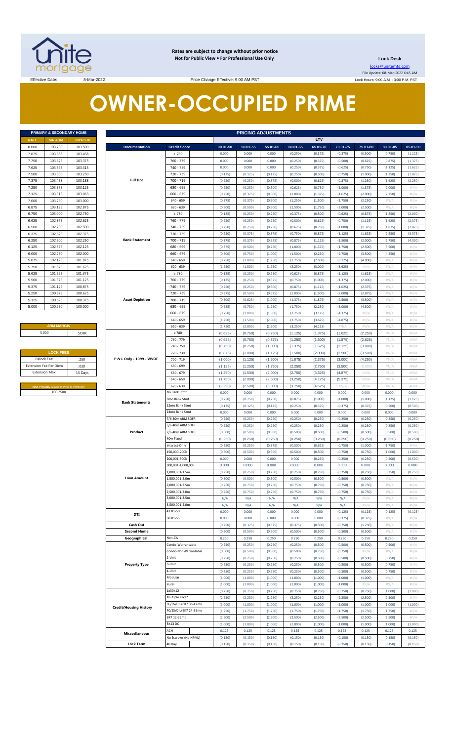

**Rates are subject to change without prior notice Not for Public View • For Professional Use Only** 

**Lock Desk**

locks@unitemtg.com File Update: 08-Mar-2022 6:45 AM Lock Hours: 9:00 A.M. - 3:00 P.M. PST

Effective Date: 8-Mar-2022 8-Mar-2022 Price Change Effective: 9:00 AM PST

# **OWNER-OCCUPIED PRIME**

|             | <b>PRIMARY &amp; SECONDARY HOME</b> |                 |
|-------------|-------------------------------------|-----------------|
| <b>RATE</b> | <b>5/6 ARM</b>                      | <b>30YR FIX</b> |
| 8.000       | 103.750                             | 103.500         |
| 7.875       | 103.688                             | 103.438         |
| 7.750       | 103.625                             | 103.375         |
| 7.625       | 103.563                             | 103.313         |
| 7.500       | 103.500                             | 103.250         |
| 7.375       | 103.438                             | 103.188         |
| 7.250       | 103.375                             | 103.125         |
| 7.125       | 103.313                             | 103.063         |
| 7.000       | 103.250                             | 103.000         |
| 6.875       | 103.125                             | 102.875         |
| 6.750       | 103.000                             | 102.750         |
| 6.625       | 102.875                             | 102.625         |
| 6.500       | 102.750                             | 102.500         |
| 6.375       | 102.625                             | 102.375         |
| 6.250       | 102.500                             | 102.250         |
| 6.125       | 102.375                             | 102.125         |
| 6.000       | 102.250                             | 102.000         |
| 5.875       | 102.125                             | 101.875         |
| 5.750       | 101.875                             | 101.625         |
| 5.625       | 101.625                             | 101.375         |
| 5.500       | 101.375                             | 101.125         |
| 5.375       | 101.125                             | 100.875         |
| 5.250       | 100.875                             | 100.625         |
| 5.125       | 100.625                             | 100.375         |
| 5.000       | 100.250                             | 100.000         |

### **ARM MARGIN** 5.000

| <b>LOCK FEES</b>                               |         |
|------------------------------------------------|---------|
| Relock Fee:                                    | .250    |
| <b>Extension Fee Per Diem</b>                  | .030    |
| <b>Extension Max:</b>                          | 15 Days |
|                                                |         |
| <b>MAX PRICING (Lower of Price or Premium)</b> |         |
| 100.2500                                       |         |

|                       | PRIMARY & SECONDARY HOME                            |                    |                               |                                  |                    |                    | <b>PRICING ADJUSTMENTS</b> |                    |                    |                    |                    |                    |                    |
|-----------------------|-----------------------------------------------------|--------------------|-------------------------------|----------------------------------|--------------------|--------------------|----------------------------|--------------------|--------------------|--------------------|--------------------|--------------------|--------------------|
| RATE                  | <b>5/6 ARM</b>                                      | 30YR FIX           |                               |                                  |                    |                    |                            |                    | LTV                |                    |                    |                    |                    |
| 8.000                 | 103.750                                             | 103.500            | <b>Documentation</b>          | <b>Credit Score</b>              | 00.01-50           | 50.01-55           | 55.01-60                   | 60.01-65           | 65.01-70           | 70.01-75           | 75.01-80           | 80.01-85           | 85.01-90           |
| 7.875                 | 103.688                                             | 103.438            |                               | $\geq 780$                       | 0.000              | 0.000              | 0.000                      | (0.250)            | (0.375)            | (0.375)            | (0.500)            | (0.750)            | (1.125)            |
| 7.750                 | 103.625                                             | 103.375            |                               | 760 - 779                        | 0.000              | 0.000              | 0.000                      | (0.250)            | (0.375)            | (0.500)            | (0.625)            | (0.875)            | (1.375)            |
| 7.625                 | 103.563                                             | 103.313            |                               | 740 - 759                        | 0.000              | 0.000              | 0.000                      | (0.250)            | (0.375)            | (0.625)            | (0.750)            | (1.125)            | (1.625)            |
| 7.500                 | 103.500                                             | 103.250            |                               | 720 - 739                        | (0.125)            | (0.125)            | (0.125)                    | (0.250)            | (0.500)            | (0.750)            | (1.000)            | (1.250)            | (1.875)            |
| 7.375                 | 103.438                                             | 103.188            | <b>Full Doc</b>               | $700 - 719$                      | (0.250)            | (0.250)            | (0.375)                    | (0.500)            | (0.625)            | (0.875)            | (1.250)            | (1.625)            | (2.250)            |
| 7.250                 | 103.375                                             | 103.125            |                               | 680 - 699                        | (0.250)            | (0.250)            | (0.500)                    | (0.625)            | (0.750)            | (1.000)            | (1.375)            | (2.000)            | #N/A               |
| 7.125                 | 103.313                                             | 103.063            |                               | $660 - 679$                      | (0.250)            | (0.375)            | (0.500)                    | (1.000)            | (1.375)            | (1.625)            | (2.000)            | (2.750)            | #N/A               |
| 7.000                 | 103.250                                             | 103.000            |                               | $640 - 659$                      | (0.375)            | (0.375)            | (0.500)                    | (1.250)            | (1.500)            | (1.750)            | (2.250)            | H N/A              | #N/A               |
| 6.875                 | 103.125                                             | 102.875            |                               | $620 - 639$                      | (0.500)            | (0.500)            | (0.500)                    | (1.500)            | (1.750)            | (2.000)            | (2.500)            | $\#N/A$            | #N/A               |
| 6.750                 | 103.000                                             | 102.750            |                               | $\geq 780$                       | (0.125)            | (0.250)            | (0.250)                    | (0.375)            | (0.500)            | (0.625)            | (0.875)            | (1.250)            | (2.000)            |
| 6.625                 | 102.875                                             | 102.625            |                               | 760 - 779                        | (0.250)            | (0.250)            | (0.250)                    | (0.500)            | (0.625)            | (0.750)            | (1.125)            | (1.625)            | (2.375)            |
| 6.500                 | 102.750<br>102.625                                  | 102.500<br>102.375 |                               | 740 - 759<br>720 - 739           | (0.250)            | (0.250)            | (0.250)                    | (0.625)            | (0.750)            | (1.000)<br>(1.125) | (1.375)<br>(1.625) | (1.875)            | (2.875)            |
| 6.375<br>6.250        | 102.500                                             | 102.250            | <b>Bank Statement</b>         | 700 - 719                        | (0.250)<br>(0.375) | (0.375)<br>(0.375) | (0.375)<br>(0.625)         | (0.750)<br>(0.875) | (0.875)<br>(1.125) | (1.500)            | (2.000)            | (2.250)<br>(2.750) | (3.375)<br>(4.000) |
| 6.125                 | 102.375                                             | 102.125            |                               | 680 - 699                        | (0.375)            | (0.500)            | (0.750)                    | (1.000)            | (1.375)            | (1.750)            | (2.500)            | (3.500)            | #N/A               |
| 6.000                 | 102.250                                             | 102.000            |                               | $660 - 679$                      | (0.500)            | (0.750)            | (1.000)                    | (1.500)            | (2.250)            | (2.750)            | (3.500)            | (4.250)            | #N/A               |
| 5.875                 | 102.125                                             | 101.875            |                               | $640 - 659$                      | (0.750)            | (1.000)            | (1.250)                    | (1.750)            | (2.500)            | (3.125)            | (4.000)            | H N/A              | #N/A               |
| 5.750                 | 101.875                                             | 101.625            |                               | $620 - 639$                      | (1.250)            | (1.500)            | (1.750)                    | (2.250)            | (3.000)            | (3.625)            | $\#N/A$            | H N/A              | #N/A               |
| 5.625                 | 101.625                                             | 101.375            |                               | $\geq 780$                       | (0.125)            | (0.250)            | (0.250)                    | (0.625)            | (0.875)            | (1.125)            | (1.625)            | H N/A              | #N/A               |
| 5.500                 | 101.375                                             | 101.125            |                               | 760 - 779                        | (0.125)            | (0.250)            | (0.375)                    | (0.750)            | (1.000)            | (1.375)            | (2.000)            | H N/A              | #N/A               |
| 5.375                 | 101.125                                             | 100.875            |                               | 740 - 759                        | (0.250)            | (0.250)            | (0.500)                    | (0.875)            | (1.125)            | (1.625)            | (2.375)            | H N/A              | #N/A               |
| 5.250                 | 100.875                                             | 100.625            |                               | 720 - 739                        | (0.375)            | (0.500)            | (0.625)                    | (1.000)            | (1.500)            | (2.000)            | (2.875)            | H N/A              | #N/A               |
| 5.125                 | 100.625                                             | 100.375            | <b>Asset Depletion</b>        | 700 - 719                        | (0.500)            | (0.625)            | (1.000)                    | (1.375)            | (1.875)            | (2.500)            | (3.500)            | H N/A              | #N/A               |
| 5.000                 | 100.250                                             | 100.000            |                               | 680 - 699                        | (0.625)            | (0.750)            | (1.250)                    | (1.750)            | (2.250)            | (3.000)            | (4.500)            | H N/A              | #N/A               |
|                       |                                                     |                    |                               | $660 - 679$                      | (0.750)            | (1.000)            | (1.500)                    | (2.250)            | (3.125)            | (4.375)            | $\#N/A$            | H N/A              | #N/A               |
|                       |                                                     |                    |                               | $640 - 659$                      | (1.250)            | (1.500)            | (2.000)                    | (2.750)            | (3.625)            | (4.875)            | $\#N/A$            | H N/A              | #N/A               |
|                       | <b>ARM MARGIN</b>                                   |                    |                               | $620 - 639$                      | (1.750)            | (2.000)            | (2.500)                    | (3.250)            | (4.125)            | $\#N/A$            | $\#N/A$            | H N/A              | #N/A               |
| 5.000                 |                                                     | SOFR               |                               | $\geq 780$                       | (0.625)            | (0.750)            | (0.750)                    | (1.125)            | (1.375)            | (1.625)            | (2.250)            | #N/A               | #N/A               |
|                       |                                                     |                    |                               | 760 - 779                        | (0.625)            | (0.750)            | (0.875)                    | (1.250)            | (1.500)            | (1.875)            | (2.625)            | #N/A               | #N/A               |
|                       |                                                     |                    |                               | 740 - 759                        | (0.750)            | (0.750)            | (1.000)                    | (1.375)            | (1.625)            | (2.125)            | (3.000)            | #N/A               | #N/A               |
|                       | <b>LOCK FEES</b>                                    |                    |                               | 720 - 739                        | (0.875)            | (1.000)            | (1.125)                    | (1.500)            | (2.000)            | (2.500)            | (3.500)            | #N/A               | #N/A               |
| Relock Fee:           |                                                     | .250               | P & L Only - 1099 - WVOE      | 700 - 719                        | (1.000)            | (1.125)            | (1.500)                    | (1.875)            | (2.375)            | (3.000)            | (4.250)            | #N/A               | #N/A               |
|                       | xtension Fee Per Diem                               | .030               |                               | 680 - 699                        | (1.125)            | (1.250)            | (1.750)                    | (2.250)            | (2.750)            | (3.500)            | (5.000)            | #N/A               | #N/A               |
| <b>Extension Max:</b> |                                                     | 15 Days            |                               | $660 - 679$                      | (1.250)            | (1.500)<br>(2.000) | (2.000)<br>(2.500)         | (2.750)            | (3.625)            | (4.875)            | $\#N/A$<br>$\#N/A$ | #N/A               | #N/A               |
|                       |                                                     |                    |                               | $640 - 659$<br>$620 - 639$       | (1.750)<br>(2.250) | (2.500)            | (3.000)                    | (3.250)<br>(3.750) | (4.125)<br>(4.625) | (5.375)<br>#N/A    | $\#N/A$            | #N/A<br>#N/A       | #N/A<br>#N/A       |
|                       | MAX PRICING (Lower of Price or Premium)<br>100.2500 |                    |                               | No Bank Stmt                     | 0.000              | 0.000              | 0.000                      | 0.000              | 0.000              | 0.000              | 0.000              | 0.000              | 0.000              |
|                       |                                                     |                    |                               | 3mo Bank Stmt                    | (0.750)            | (0.750)            | (0.750)                    | (0.875)            | (1.000)            | (1.000)            | (1.000)            | (1.125)            | (1.125)            |
|                       |                                                     |                    | <b>Bank Statements</b>        | 12mo Bank Stmt                   | (0.125)            | (0.125)            | (0.125)                    | (0.250)            | (0.375)            | (0.375)            | (0.375)            | (0.500)            | (0.500)            |
|                       |                                                     |                    |                               | 24mo Bank Stmt                   | 0.000              | 0.000              | 0.000                      | 0.000              | 0.000              | 0.000              | 0.000              | 0.000              | 0.000              |
|                       |                                                     |                    |                               | 7/6 30yr ARM SOFR                | (0.250)            | (0.250)            | (0.250)                    | (0.250)            | (0.250)            | (0.250)            | (0.250)            | (0.250)            | (0.250)            |
|                       |                                                     |                    |                               | 5/6 40yr ARM SOFR                | (0.250)            | (0.250)            | (0.250)                    | (0.250)            | (0.250)            | (0.250)            | (0.250)            | (0.250)            | (0.250)            |
|                       |                                                     |                    | Product                       | 7/6 40yr ARM SOFR                | (0.500)            | (0.500)            | (0.500)                    | (0.500)            | (0.500)            | (0.500)            | (0.500)            | (0.500)            | (0.500)            |
|                       |                                                     |                    |                               | 40yr Fixed                       | (0.250)            | (0.250)            | (0.250)                    | (0.250)            | (0.250)            | (0.250)            | (0.250)            | (0.250)            | (0.250)            |
|                       |                                                     |                    |                               | Interest-Only                    | (0.250)            | (0.250)            | (0.375)                    | (0.500)            | (0.625)            | (0.750)            | (1.000)            | (1.750)            | #N/A               |
|                       |                                                     |                    |                               | 150,000-200k                     | (0.500)            | (0.500)            | (0.500)                    | (0.500)            | (0.500)            | (0.750)            | (0.750)            | (1.000)            | (1.000)            |
|                       |                                                     |                    |                               | 200.001-300k                     | 0.000              | 0.000              | 0.000                      | 0.000              | (0.250)            | (0.250)            | (0.250)            | (0.500)            | (0.500)            |
|                       |                                                     |                    |                               | 300,001-1,000,000                | 0.000              | 0.000              | 0.000                      | 0.000              | 0.000              | 0.000              | 0.000              | 0.000              | 0.000              |
|                       |                                                     |                    |                               | 1.000.001-1.5m                   | (0.250)            | (0.250)            | (0.250)                    | (0.250)            | (0.250)            | (0.250)            | (0.250)            | (0.250)            | (0.250)            |
|                       |                                                     |                    | <b>Loan Amount</b>            | 1,500,001-2.0m                   | (0.500)            | (0.500)            | (0.500)                    | (0.500)            | (0.500)            | (0.500)            | (0.500)            | H N/A              | #N/A               |
|                       |                                                     |                    |                               | 2,000,001-2.5m<br>2,500,001-3.0m | (0.750)            | (0.750)            | (0.750)                    | (0.750)            | (0.750)            | (0.750)            | (0.750)            | $\#N/A$            | #N/A               |
|                       |                                                     |                    |                               | 3,000,001-3.5m                   | (0.750)<br>N/A     | (0.750)<br>N/A     | (0.750)<br>N/A             | (0.750)<br>N/A     | (0.750)<br>N/A     | (0.750)<br>N/A     | (0.750)<br>#N/A    | H N/A<br>$\#N/A$   | #N/A<br>#N/A       |
|                       |                                                     |                    |                               | 3,500,001-4.0m                   | N/A                | N/A                | N/A                        | N/A                | N/A                | N/A                | $\#N/A$            | $\#N/A$            | #N/A               |
|                       |                                                     |                    |                               | 43.01-50                         | 0.000              | 0.000              | 0.000                      | 0.000              | 0.000              | (0.125)            | (0.125)            | (0.125)            | (0.125)            |
|                       |                                                     |                    | DTI                           | 50.01-55                         | 0.000              | 0.000              | 0.000                      | 0.000              | 0.000              | (0.375)            | (0.375)            | H N/A              | #N/A               |
|                       |                                                     |                    | Cash Out                      |                                  | (0.250)            | (0.375)            | (0.375)                    | (0.375)            | (0.500)            | (0.750)            | (1.250)            | $\#N/A$            | #N/A               |
|                       |                                                     |                    | <b>Second Home</b>            |                                  | (0.500)            | (0.500)            | (0.500)                    | (0.500)            | (0.500)            | (0.500)            | (0.500)            | H N/A              | #N/A               |
|                       |                                                     |                    | Geographical                  | Non-CA                           | 0.250              | 0.250              | 0.250                      | 0.250              | 0.250              | 0.250              | 0.250              | 0.250              | 0.250              |
|                       |                                                     |                    |                               | Condo-Warrantable                | (0.250)            | (0.250)            | (0.250)                    | (0.250)            | (0.500)            | (0.500)            | (0.500)            | (0.500)            | #N/A               |
|                       |                                                     |                    |                               | Condo-NonWarrantable             | (0.500)            | (0.500)            | (0.500)                    | (0.500)            | (0.750)            | (0.750)            | $\#N/A$            | $\#N/A$            | #N/A               |
|                       |                                                     |                    |                               | 2-Unit                           | (0.250)            | (0.250)            | (0.250)                    | (0.250)            | (0.500)            | (0.500)            | (0.500)            | (0.750)            | #N/A               |
|                       |                                                     |                    | <b>Property Type</b>          | 3-Unit                           | (0.250)            | (0.250)            | (0.250)                    | (0.250)            | (0.500)            | (0.500)            | (0.500)            | (0.750)            | #N/A               |
|                       |                                                     |                    |                               | 4-Unit                           | (0.250)            | (0.250)            | (0.250)                    | (0.250)            | (0.500)            | (0.500)            | (0.500)            | (0.750)            | #N/A               |
|                       |                                                     |                    |                               | Modular                          | (1.000)            | (1.000)            | (1.000)                    | (1.000)            | (1.000)            | (1.000)            | (1.000)            | $\#N/A$            | #N/A               |
|                       |                                                     |                    |                               | Rural                            | (1.000)            | (1.000)            | (1.000)                    | (1.000)            | (1.000)            | (1.000)            | #N/A               | $\#N/A$            | #N/A               |
|                       |                                                     |                    |                               | 1x30x12<br>Multiple30x12         | (0.750)            | (0.750)            | (0.750)                    | (0.750)            | (0.750)            | (0.750)            | (0.750)            | (1.000)            | (1.000)            |
|                       |                                                     |                    |                               | FC/SS/DIL/BK7 36-47mo            | (2.250)<br>(1.000) | (2.250)<br>(1.000) | (2.250)<br>(1.000)         | (2.250)<br>(1.000) | (2.250)<br>(1.000) | (2.250)<br>(1.000) | (2.500)<br>(1.000) | (2.500)<br>(1.000) | #N/A<br>(1.000)    |
|                       |                                                     |                    | <b>Credit/Housing History</b> | FC/SS/DIL/BK7 24-35mo            | (1.750)            | (1.750)            | (1.750)                    | (1.750)            | (1.750)            | (1.750)            | (1.750)            | (1.750)            | #N/A               |
|                       |                                                     |                    |                               | BK7 12-23mo                      | (2.500)            | (2.500)            | (2.500)                    | (2.500)            | (2.500)            | (2.500)            | (2.500)            | (2.500)            | #N/A               |
|                       |                                                     |                    |                               | BK13 DC                          | (1.000)            | (1.000)            | (1.000)                    | (1.000)            | (1.000)            | (1.000)            | (1.000)            | (1.000)            | (1.000)            |
|                       |                                                     |                    |                               | ACH                              | 0.125              | 0.125              | 0.125                      | 0.125              | 0.125              | 0.125              | 0.125              | 0.125              | 0.125              |
|                       |                                                     |                    | <b>Misccellaneous</b>         | No Escrows (No HPML)             | (0.150)            | (0.150)            | (0.150)                    | (0.150)            | (0.150)            | (0.150)            | (0.150)            | (0.150)            | (0.150)            |
|                       |                                                     |                    | <b>Lock Term</b>              | 40 Day                           | (0.150)            | (0.150)            | (0.150)                    | (0.150)            | (0.150)            | (0.150)            | (0.150)            | (0.150)            | (0.150)            |
|                       |                                                     |                    |                               |                                  |                    |                    |                            |                    |                    |                    |                    |                    |                    |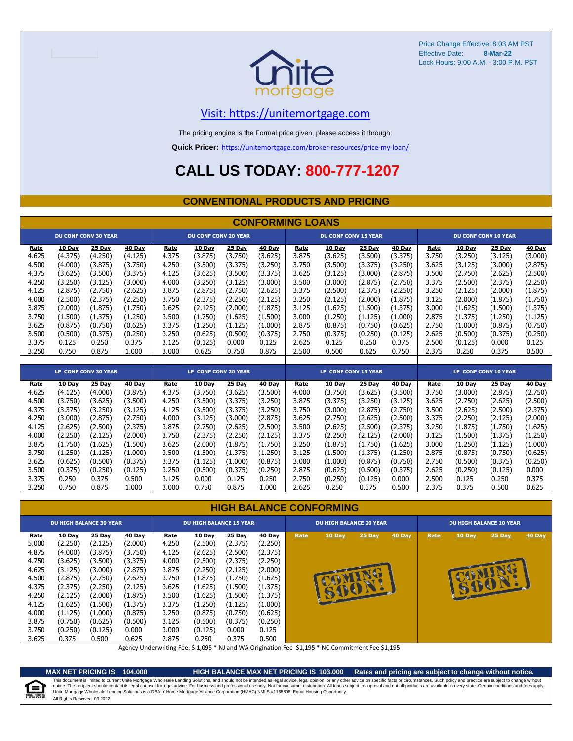

# [V](https://unitemortgage.com/)isit: https://unitemortgage.com

The pricing engine is the Formal price given, please access it through:

**Quick Pricer:** [https://un](https://unitemortgage.com/broker-resources/price-my-loan/)itemortgage.com/broker-resources/price-my-loan/

# **CALL US TODAY: 800-777-1207**

## **CONVENTIONAL PRODUCTS AND PRICING**

|       | <b>CONFORMING LOANS</b> |                             |         |       |                             |         |         |       |                             |         |         |       |         |                             |         |
|-------|-------------------------|-----------------------------|---------|-------|-----------------------------|---------|---------|-------|-----------------------------|---------|---------|-------|---------|-----------------------------|---------|
|       |                         | <b>DU CONF CONV 30 YEAR</b> |         |       | <b>DU CONF CONV 20 YEAR</b> |         |         |       | <b>DU CONF CONV 15 YEAR</b> |         |         |       |         | <b>DU CONF CONV 10 YEAR</b> |         |
| Rate  | 10 Day                  | 25 Day                      | 40 Day  | Rate  | 10 Day                      | 25 Day  | 40 Day  | Rate  | 10 Day                      | 25 Day  | 40 Day  | Rate  | 10 Day  | 25 Day                      | 40 Day  |
| 4.625 | (4.375)                 | (4.250)                     | (4.125) | 4.375 | (3.875)                     | (3.750) | (3.625) | 3.875 | (3.625)                     | (3.500) | (3.375) | 3.750 | (3.250) | (3.125)                     | (3.000) |
| 4.500 | (4.000)                 | (3.875)                     | (3.750) | 4.250 | (3.500)                     | (3.375) | (3.250) | 3.750 | (3.500)                     | (3.375) | (3.250) | 3.625 | (3.125) | (3.000)                     | (2.875) |
| 4.375 | (3.625)                 | (3.500)                     | (3.375) | 4.125 | (3.625)                     | (3.500) | (3.375) | 3.625 | (3.125)                     | (3.000) | (2.875) | 3.500 | (2.750) | (2.625)                     | (2.500) |
| 4.250 | (3.250)                 | (3.125)                     | (3.000) | 4.000 | (3.250)                     | (3.125) | (3.000) | 3.500 | (3.000)                     | (2.875) | (2.750) | 3.375 | (2.500) | (2.375)                     | (2.250) |
| 4.125 | (2.875)                 | (2.750)                     | (2.625) | 3.875 | (2.875)                     | (2.750) | (2.625) | 3.375 | (2.500)                     | (2.375) | (2.250) | 3.250 | (2.125) | (2.000)                     | (1.875) |
| 4.000 | (2.500)                 | (2.375)                     | (2.250) | 3.750 | (2.375)                     | (2.250) | (2.125) | 3.250 | (2.125)                     | (2.000) | (1.875) | 3.125 | (2.000) | (1.875)                     | (1.750) |
| 3.875 | (2.000)                 | (1.875)                     | (1.750) | 3.625 | (2.125)                     | (2.000) | (1.875) | 3.125 | (1.625)                     | (1.500) | (1.375) | 3.000 | (1.625) | (1.500)                     | (1.375) |
| 3.750 | (1.500)                 | (1.375)                     | (1.250) | 3.500 | (1.750)                     | (1.625) | (1.500) | 3.000 | (1.250)                     | (1.125) | (1.000) | 2.875 | (1.375) | (1.250)                     | (1.125) |
| 3.625 | (0.875)                 | (0.750)                     | (0.625) | 3.375 | (1.250)                     | (1.125) | (1.000) | 2.875 | (0.875)                     | (0.750) | (0.625) | 2.750 | (1.000) | (0.875)                     | (0.750) |
| 3.500 | (0.500)                 | (0.375)                     | (0.250) | 3.250 | (0.625)                     | (0.500) | (0.375) | 2.750 | (0.375)                     | (0.250) | (0.125) | 2.625 | (0.500) | (0.375)                     | (0.250) |
| 3.375 | 0.125                   | 0.250                       | 0.375   | 3.125 | (0.125)                     | 0.000   | 0.125   | 2.625 | 0.125                       | 0.250   | 0.375   | 2.500 | (0.125) | 0.000                       | 0.125   |
| 3.250 | 0.750                   | 0.875                       | 1.000   | 3.000 | 0.625                       | 0.750   | 0.875   | 2.500 | 0.500                       | 0.625   | 0.750   | 2.375 | 0.250   | 0.375                       | 0.500   |
|       |                         |                             |         |       |                             |         |         |       |                             |         |         |       |         |                             |         |
|       |                         | LP CONF CONV 30 YEAR        |         |       | LP CONF CONV 20 YEAR        |         |         |       | LP CONF CONV 15 YEAR        |         |         |       |         | <b>LP CONF CONV 10 YEAR</b> |         |
| Rate  | <b>10 Day</b>           | 25 Day                      | 40 Day  | Rate  | 10 Day                      | 25 Day  | 40 Day  | Rate  | 10 Day                      | 25 Day  | 40 Day  | Rate  | 10 Day  | 25 Day                      | 40 Day  |
| 4.625 | (4.125)                 | (4.000)                     | (3.875) | 4.375 | (3.750)                     | (3.625) | (3.500) | 4.000 | (3.750)                     | (3.625) | (3.500) | 3.750 | (3.000) | (2.875)                     | (2.750) |
| 4.500 | (3.750)                 | (3.625)                     | (3.500) | 4.250 | (3.500)                     | (3.375) | (3.250) | 3.875 | (3.375)                     | (3.250) | (3.125) | 3.625 | (2.750) | (2.625)                     | (2.500) |
| 4.375 | (3.375)                 | (3.250)                     | (3.125) | 4.125 | (3.500)                     | (3.375) | (3.250) | 3.750 | (3.000)                     | (2.875) | (2.750) | 3.500 | (2.625) | (2.500)                     | (2.375) |
| 4.250 | (3.000)                 | (2.875)                     | (2.750) | 4.000 | (3.125)                     | (3.000) | (2.875) | 3.625 | (2.750)                     | (2.625) | (2.500) | 3.375 | (2.250) | (2.125)                     | (2.000) |
| 4.125 | (2.625)                 | (2.500)                     | (2.375) | 3.875 | (2.750)                     | (2.625) | (2.500) | 3.500 | (2.625)                     | (2.500) | (2.375) | 3.250 | (1.875) | (1.750)                     | (1.625) |
| 4.000 | (2.250)                 | (2.125)                     | (2.000) | 3.750 | (2.375)                     | (2.250) | (2.125) | 3.375 | (2.250)                     | (2.125) | (2.000) | 3.125 | (1.500) | (1.375)                     | (1.250) |
| 3.875 | (1.750)                 | (1.625)                     | (1.500) | 3.625 | (2.000)                     | (1.875) | (1.750) | 3.250 | (1.875)                     | (1.750) | (1.625) | 3.000 | (1.250) | (1.125)                     | (1.000) |
| 3.750 | (1.250)                 | (1.125)                     | (1.000) | 3.500 | (1.500)                     | (1.375) | (1.250) | 3.125 | (1.500)                     | (1.375) | (1.250) | 2.875 | (0.875) | (0.750)                     | (0.625) |
| 3.625 | (0.625)                 | (0.500)                     | (0.375) | 3.375 | (1.125)                     | (1.000) | (0.875) | 3.000 | (1.000)                     | (0.875) | (0.750) | 2.750 | (0.500) | (0.375)                     | (0.250) |
| 3.500 | (0.375)                 | (0.250)                     | (0.125) | 3.250 | (0.500)                     | (0.375) | (0.250) | 2.875 | (0.625)                     | (0.500) | (0.375) | 2.625 | (0.250) | (0.125)                     | 0.000   |
| 3.375 | 0.250                   | 0.375                       | 0.500   | 3.125 | 0.000                       | 0.125   | 0.250   | 2.750 | (0.250)                     | (0.125) | 0.000   | 2.500 | 0.125   | 0.250                       | 0.375   |
| 3.250 | 0.750                   | 0.875                       | 1.000   | 3.000 | 0.750                       | 0.875   | 1.000   | 2.625 | 0.250                       | 0.375   | 0.500   | 2.375 | 0.375   | 0.500                       | 0.625   |

### **HIGH BALANCE CONFORMING**

|             | <b>DU HIGH BALANCE 30 YEAR</b> |         |         | <b>DU HIGH BALANCE 15 YEAR</b> |               |         |         |      | <b>DU HIGH BALANCE 20 YEAR</b> |        |        | <b>DU HIGH BALANCE 10 YEAR</b> |               |          |               |  |
|-------------|--------------------------------|---------|---------|--------------------------------|---------------|---------|---------|------|--------------------------------|--------|--------|--------------------------------|---------------|----------|---------------|--|
| <u>Rate</u> | 10 Day                         | 25 Day  | 40 Day  | Rate                           | <b>10 Day</b> | 25 Day  | 40 Day  | Rate | 10 Day                         | 25 Day | 40 Day | Rate                           | <b>10 Day</b> | $25$ Day | <b>40 Day</b> |  |
| 5.000       | (2.250)                        | (2.125) | (2.000) | 4.250                          | (2.500)       | (2.375) | (2.250) |      |                                |        |        |                                |               |          |               |  |
| 4.875       | (4.000)                        | (3.875) | (3.750) | 4.125                          | (2.625)       | (2.500) | (2.375) |      |                                |        |        |                                |               |          |               |  |
| 4.750       | (3.625)                        | (3.500) | (3.375) | 4.000                          | (2.500)       | (2.375) | (2.250) |      |                                |        |        |                                |               |          |               |  |
| 4.625       | (3.125)                        | (3.000) | (2.875) | 3.875                          | (2.250)       | (2.125) | (2.000) |      |                                |        |        |                                |               |          |               |  |
| 4.500       | (2.875)                        | (2.750) | (2.625) | 3.750                          | (1.875)       | (1.750) | (1.625) |      |                                |        |        |                                |               |          |               |  |
| 4.375       | (2.375)                        | (2.250) | (2.125) | 3.625                          | (1.625)       | (1.500) | (1.375) |      |                                |        |        |                                | B             |          |               |  |
| 4.250       | (2.125)                        | (2.000) | (1.875) | 3.500                          | (1.625)       | (1.500) | (1.375) |      | <b>SPEAL</b>                   |        |        |                                |               |          |               |  |
| 4.125       | (1.625)                        | (1.500) | (1.375) | 3.375                          | (1.250)       | (1.125) | (1.000) |      |                                |        |        |                                |               |          |               |  |
| 4.000       | (1.125)                        | (1.000) | (0.875) | 3.250                          | (0.875)       | (0.750) | (0.625) |      |                                |        |        |                                |               |          |               |  |
| 3.875       | (0.750)                        | (0.625) | (0.500) | 3.125                          | (0.500)       | (0.375) | (0.250) |      |                                |        |        |                                |               |          |               |  |
| 3.750       | (0.250)                        | (0.125) | 0.000   | 3.000                          | (0.125)       | 0.000   | 0.125   |      |                                |        |        |                                |               |          |               |  |
| 3.625       | 0.375                          | 0.500   | 0.625   | 2.875                          | 0.250         | 0.375   | 0.500   |      |                                |        |        |                                |               |          |               |  |

Agency Underwriting Fee: \$ 1,095 \* NJ and WA Origination Fee \$1,195 \* NC Commitment Fee \$1,195

≘ QUAL HOUSIN

**MAX NET PRICING IS 104.000 HIGH BALANCE MAX NET PRICING IS 103.000 Rates and pricing are subject to change without notice.** All Rights Reserved. 03.2022 This document is limited to current Unite Mortgage Wholesale Lending Solutions, and should not be intended as legal advice, legal opinion, or any other advice on specific facts or circumstances. Such policy and practice ar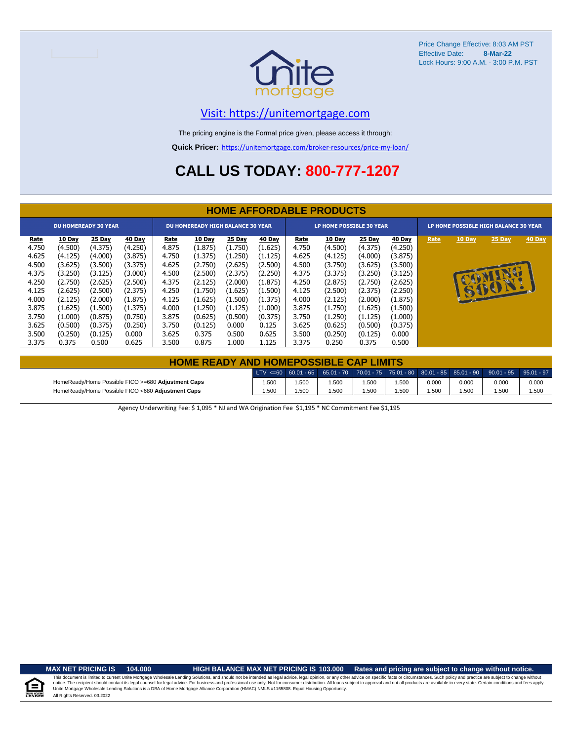

# [V](https://unitemortgage.com/)isit: https://unitemortgage.com

The pricing engine is the Formal price given, please access it through:

**Quick Pricer:** [https://un](https://unitemortgage.com/broker-resources/price-my-loan/)itemortgage.com/broker-resources/price-my-loan/

# **CALL US TODAY: 800-777-1207**

|                                                                                                                  | <b>HOME AFFORDABLE PRODUCTS</b>                                                                                                          |                                                                                                                                          |                                                                                                                                        |                                                                                                                  |                                                                                                                                        |                                                                                                                                      |                                                                                                                                      |                                                                                                                  |                                                                                                                                          |                                                                                                                                          |                                                                                                                                        |                                       |        |                 |        |
|------------------------------------------------------------------------------------------------------------------|------------------------------------------------------------------------------------------------------------------------------------------|------------------------------------------------------------------------------------------------------------------------------------------|----------------------------------------------------------------------------------------------------------------------------------------|------------------------------------------------------------------------------------------------------------------|----------------------------------------------------------------------------------------------------------------------------------------|--------------------------------------------------------------------------------------------------------------------------------------|--------------------------------------------------------------------------------------------------------------------------------------|------------------------------------------------------------------------------------------------------------------|------------------------------------------------------------------------------------------------------------------------------------------|------------------------------------------------------------------------------------------------------------------------------------------|----------------------------------------------------------------------------------------------------------------------------------------|---------------------------------------|--------|-----------------|--------|
|                                                                                                                  |                                                                                                                                          | <b>DU HOMEREADY 30 YEAR</b>                                                                                                              |                                                                                                                                        | <b>DU HOMEREADY HIGH BALANCE 30 YEAR</b>                                                                         |                                                                                                                                        |                                                                                                                                      |                                                                                                                                      | LP HOME POSSIBLE 30 YEAR                                                                                         |                                                                                                                                          |                                                                                                                                          |                                                                                                                                        | LP HOME POSSIBLE HIGH BALANCE 30 YEAR |        |                 |        |
| Rate<br>4.750<br>4.625<br>4.500<br>4.375<br>4.250<br>4.125<br>4.000<br>3.875<br>3.750<br>3.625<br>3.500<br>3.375 | 10 Day<br>(4.500)<br>(4.125)<br>(3.625)<br>(3.250)<br>(2.750)<br>(2.625)<br>(2.125)<br>(1.625)<br>(1.000)<br>(0.500)<br>(0.250)<br>0.375 | 25 Day<br>(4.375)<br>(4.000)<br>(3.500)<br>(3.125)<br>(2.625)<br>(2.500)<br>(2.000)<br>(1.500)<br>(0.875)<br>(0.375)<br>(0.125)<br>0.500 | 40 Day<br>(4.250)<br>(3.875)<br>(3.375)<br>(3.000)<br>(2.500)<br>(2.375)<br>(1.875)<br>(1.375)<br>(0.750)<br>(0.250)<br>0.000<br>0.625 | Rate<br>4.875<br>4.750<br>4.625<br>4.500<br>4.375<br>4.250<br>4.125<br>4.000<br>3.875<br>3.750<br>3.625<br>3.500 | 10 Day<br>(1.875)<br>(1.375)<br>(2.750)<br>(2.500)<br>(2.125)<br>(1.750)<br>(1.625)<br>(1.250)<br>(0.625)<br>(0.125)<br>0.375<br>0.875 | 25 Day<br>(1.750)<br>(1.250)<br>(2.625)<br>(2.375)<br>(2.000)<br>(1.625)<br>(1.500)<br>(1.125)<br>(0.500)<br>0.000<br>0.500<br>1.000 | 40 Day<br>(1.625)<br>(1.125)<br>(2.500)<br>(2.250)<br>(1.875)<br>(1.500)<br>(1.375)<br>(1.000)<br>(0.375)<br>0.125<br>0.625<br>1.125 | Rate<br>4.750<br>4.625<br>4.500<br>4.375<br>4.250<br>4.125<br>4.000<br>3.875<br>3.750<br>3.625<br>3.500<br>3.375 | 10 Day<br>(4.500)<br>(4.125)<br>(3.750)<br>(3.375)<br>(2.875)<br>(2.500)<br>(2.125)<br>(1.750)<br>(1.250)<br>(0.625)<br>(0.250)<br>0.250 | 25 Day<br>(4.375)<br>(4.000)<br>(3.625)<br>(3.250)<br>(2.750)<br>(2.375)<br>(2.000)<br>(1.625)<br>(1.125)<br>(0.500)<br>(0.125)<br>0.375 | 40 Day<br>(4.250)<br>(3.875)<br>(3.500)<br>(3.125)<br>(2.625)<br>(2.250)<br>(1.875)<br>(1.500)<br>(1.000)<br>(0.375)<br>0.000<br>0.500 | Rate                                  | 10 Day | 25 Day<br>15001 | 40 Day |

| <b>HOME READY AND HOMEPOSSIBLE CAP LIMITS</b>      |       |      |       |       |      |       |       |                                                                                                  |       |  |  |  |  |
|----------------------------------------------------|-------|------|-------|-------|------|-------|-------|--------------------------------------------------------------------------------------------------|-------|--|--|--|--|
|                                                    |       |      |       |       |      |       |       | LTV <=60 60.01 - 65 65.01 - 70 70.01 - 75 75.01 - 80 80.01 - 85 85.01 - 90 90.01 - 95 95.01 - 97 |       |  |  |  |  |
| HomeReady/Home Possible FICO >=680 Adjustment Caps | 1.500 | .500 | .500  | 1.500 | .500 | 0.000 | 0.000 | 0.000                                                                                            | 0.000 |  |  |  |  |
| HomeReady/Home Possible FICO <680 Adjustment Caps  | 1.500 | .500 | 1.500 | 1.500 | .500 | 1.500 | 1.500 | .500                                                                                             | 1.500 |  |  |  |  |

Agency Underwriting Fee: \$ 1,095 \* NJ and WA Origination Fee \$1,195 \* NC Commitment Fee \$1,195

### **MAX NET PRICING IS 104.000 HIGH BALANCE MAX NET PRICING IS 103.000 Rates and pricing are subject to change without notice.**

All Rights Reserved. 03.2022 This document is limited to current Unite Mortgage Wholesale Lending Solutions, and should not be intended as legal advice, legal opinion, or any other advice on specific facts or circumstances. Such policy and practice ar notice. The recipient should contact its legal coursel for legal advice. For business and professional use only. Not for consumer distribution. All oans subject to approval and not all products are available in every state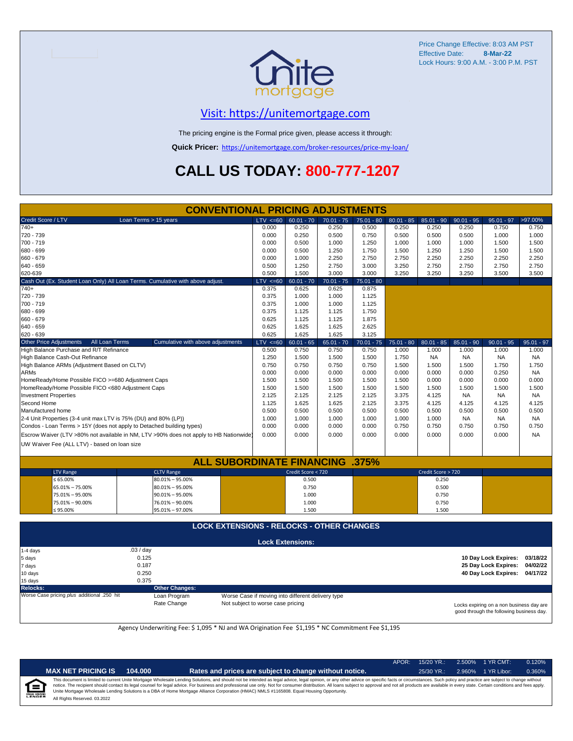

# [V](https://unitemortgage.com/)isit: https://unitemortgage.com

The pricing engine is the Formal price given, please access it through:

**Quick Pricer:** [https://un](https://unitemortgage.com/broker-resources/price-my-loan/)itemortgage.com/broker-resources/price-my-loan/

# **CALL US TODAY: 800-777-1207**

|                                                                                        |                       | <b>CONVENTIONAL PRICING ADJUSTMENTS</b>          |                                   |                                                   |              |              |              |                    |              |                                          |              |
|----------------------------------------------------------------------------------------|-----------------------|--------------------------------------------------|-----------------------------------|---------------------------------------------------|--------------|--------------|--------------|--------------------|--------------|------------------------------------------|--------------|
| Credit Score / LTV                                                                     | Loan Terms > 15 years |                                                  | $TV \le 60$                       | $60.01 - 70$                                      | $70.01 - 75$ | 75.01 - 80   | $80.01 - 85$ | $85.01 - 90$       | $90.01 - 95$ | $95.01 - 97$                             | $>97.00\%$   |
| 740+                                                                                   |                       |                                                  | 0.000                             | 0.250                                             | 0.250        | 0.500        | 0.250        | 0.250              | 0.250        | 0.750                                    | 0.750        |
| 720 - 739                                                                              |                       |                                                  | 0.000                             | 0.250                                             | 0.500        | 0.750        | 0.500        | 0.500              | 0.500        | 1.000                                    | 1.000        |
| 700 - 719                                                                              |                       |                                                  | 0.000                             | 0.500                                             | 1.000        | 1.250        | 1.000        | 1.000              | 1.000        | 1.500                                    | 1.500        |
| 680 - 699                                                                              |                       |                                                  | 0.000                             | 0.500                                             | 1.250        | 1.750        | 1.500        | 1.250              | 1.250        | 1.500                                    | 1.500        |
| 660 - 679                                                                              |                       |                                                  | 0.000                             | 1.000                                             | 2.250        | 2.750        | 2.750        | 2.250              | 2.250        | 2.250                                    | 2.250        |
| 640 - 659                                                                              |                       |                                                  | 0.500                             | 1.250                                             | 2.750        | 3.000        | 3.250        | 2.750              | 2.750        | 2.750                                    | 2.750        |
| 620-639                                                                                |                       |                                                  | 0.500                             | 1.500                                             | 3.000        | 3.000        | 3.250        | 3.250              | 3.250        | 3.500                                    | 3.500        |
| Cash Out (Ex. Student Loan Only) All Loan Terms. Cumulative with above adjust.         |                       | $LTV \le 60$                                     | $60.01 - 70$                      | $70.01 - 75$                                      | $75.01 - 80$ |              |              |                    |              |                                          |              |
| 740+                                                                                   |                       | 0.375                                            | 0.625                             | 0.625                                             | 0.875        |              |              |                    |              |                                          |              |
| 720 - 739                                                                              |                       |                                                  | 0.375                             | 1.000                                             | 1.000        | 1.125        |              |                    |              |                                          |              |
| 700 - 719                                                                              |                       | 0.375                                            | 1.000                             | 1.000                                             | 1.125        |              |              |                    |              |                                          |              |
| 680 - 699                                                                              |                       |                                                  | 0.375                             | 1.125                                             | 1.125        | 1.750        |              |                    |              |                                          |              |
| 660 - 679                                                                              |                       |                                                  | 0.625                             | 1.125                                             | 1.125        | 1.875        |              |                    |              |                                          |              |
| 640 - 659                                                                              |                       | 0.625                                            | 1.625                             | 1.625                                             | 2.625        |              |              |                    |              |                                          |              |
| 620 - 639                                                                              |                       | 0.625                                            | 1.625                             | 1.625                                             | 3.125        |              |              |                    |              |                                          |              |
| All Loan Terms<br><b>Other Price Adjustments</b>                                       |                       | Cumulative with above adjustments                | $LTV < =60$                       | $60.01 - 65$                                      | $65.01 - 70$ | $70.01 - 75$ | $75.01 - 80$ | $80.01 - 85$       | $85.01 - 90$ | $90.01 - 95$                             | $95.01 - 97$ |
| High Balance Purchase and R/T Refinance                                                |                       |                                                  | 0.500                             | 0.750                                             | 0.750        | 0.750        | 1.000        | 1.000              | 1.000        | 1.000                                    | 1.000        |
| High Balance Cash-Out Refinance                                                        |                       |                                                  | 1.250                             | 1.500                                             | 1.500        | 1.500        | 1.750        | <b>NA</b>          | <b>NA</b>    | <b>NA</b>                                | <b>NA</b>    |
| High Balance ARMs (Adjustment Based on CLTV)                                           |                       |                                                  | 0.750                             | 0.750                                             | 0.750        | 0.750        | 1.500        | 1.500              | 1.500        | 1.750                                    | 1.750        |
| <b>ARMs</b>                                                                            |                       |                                                  | 0.000                             | 0.000                                             | 0.000        | 0.000        | 0.000        | 0.000              | 0.000        | 0.250                                    | <b>NA</b>    |
| HomeReady/Home Possible FICO >=680 Adjustment Caps                                     |                       |                                                  | 1.500                             | 1.500                                             | 1.500        | 1.500        | 1.500        | 0.000              | 0.000        | 0.000                                    | 0.000        |
| HomeReady/Home Possible FICO <680 Adjustment Caps                                      |                       |                                                  | 1.500                             | 1.500                                             | 1.500        | 1.500        | 1.500        | 1.500              | 1.500        | 1.500                                    | 1.500        |
| <b>Investment Properties</b>                                                           |                       |                                                  | 2.125                             | 2.125                                             | 2.125        | 2.125        | 3.375        | 4.125              | <b>NA</b>    | <b>NA</b>                                | <b>NA</b>    |
| Second Home                                                                            |                       |                                                  | 1.125                             | 1.625                                             | 1.625        | 2.125        | 3.375        | 4.125              | 4.125        | 4.125                                    | 4.125        |
| Manufactured home                                                                      |                       |                                                  | 0.500                             | 0.500                                             | 0.500        | 0.500        | 0.500        | 0.500              | 0.500        | 0.500                                    | 0.500        |
| 2-4 Unit Properties (3-4 unit max LTV is 75% (DU) and 80% (LP))                        |                       |                                                  | 1.000                             | 1.000                                             | 1.000        | 1.000        | 1.000        | 1.000              | <b>NA</b>    | NA                                       | NA           |
| Condos - Loan Terms > 15Y (does not apply to Detached building types)                  |                       |                                                  | 0.000                             | 0.000                                             | 0.000        | 0.000        | 0.750        | 0.750              | 0.750        | 0.750                                    | 0.750        |
| Escrow Waiver (LTV >80% not available in NM, LTV >90% does not apply to HB Nationwide) |                       |                                                  | 0.000                             | 0.000                                             | 0.000        | 0.000        | 0.000        | 0.000              | 0.000        | 0.000                                    | <b>NA</b>    |
|                                                                                        |                       |                                                  |                                   |                                                   |              |              |              |                    |              |                                          |              |
| UW Waiver Fee (ALL LTV) - based on loan size                                           |                       |                                                  |                                   |                                                   |              |              |              |                    |              |                                          |              |
|                                                                                        |                       | <b>ALL SUBORDINATE FINANCING</b>                 |                                   |                                                   |              | .375%        |              |                    |              |                                          |              |
| <b>LTV Range</b>                                                                       | <b>CLTV Range</b>     |                                                  |                                   | Credit Score < 720                                |              |              |              | Credit Score > 720 |              |                                          |              |
| $\leq 65.00\%$                                                                         | $80.01\% - 95.00\%$   |                                                  |                                   | 0.500                                             |              |              |              | 0.250              |              |                                          |              |
| 65.01% - 75.00%                                                                        | 80.01% - 95.00%       |                                                  |                                   | 0.750                                             |              |              |              | 0.500              |              |                                          |              |
| 75.01% - 95.00%                                                                        | $90.01\% - 95.00\%$   |                                                  |                                   | 1.000                                             |              |              |              | 0.750              |              |                                          |              |
| 75.01% - 90.00%                                                                        | 76.01% - 90.00%       |                                                  |                                   | 1.000                                             |              |              |              | 0.750              |              |                                          |              |
| ≤ 95.00%                                                                               | 95.01% - 97.00%       |                                                  |                                   | 1.500                                             |              |              |              | 1.500              |              |                                          |              |
|                                                                                        |                       |                                                  |                                   |                                                   |              |              |              |                    |              |                                          |              |
|                                                                                        |                       | <b>LOCK EXTENSIONS - RELOCKS - OTHER CHANGES</b> |                                   |                                                   |              |              |              |                    |              |                                          |              |
|                                                                                        |                       |                                                  |                                   |                                                   |              |              |              |                    |              |                                          |              |
|                                                                                        |                       |                                                  |                                   | <b>Lock Extensions:</b>                           |              |              |              |                    |              |                                          |              |
| 1-4 days                                                                               | .03 / day             |                                                  |                                   |                                                   |              |              |              |                    |              |                                          |              |
| 5 days                                                                                 | 0.125                 |                                                  |                                   |                                                   |              |              |              |                    |              | 10 Day Lock Expires:                     | 03/18/22     |
| 7 days                                                                                 | 0.187                 |                                                  |                                   |                                                   |              |              |              |                    |              | 25 Day Lock Expires:                     | 04/02/22     |
| 10 days                                                                                | 0.250                 |                                                  |                                   |                                                   |              |              |              |                    |              | 40 Day Lock Expires: 04/17/22            |              |
| 15 days                                                                                | 0.375                 |                                                  |                                   |                                                   |              |              |              |                    |              |                                          |              |
| <b>Relocks:</b>                                                                        | <b>Other Changes:</b> |                                                  |                                   |                                                   |              |              |              |                    |              |                                          |              |
| Worse Case pricing plus additional .250 hit                                            | Loan Program          |                                                  |                                   | Worse Case if moving into different delivery type |              |              |              |                    |              |                                          |              |
|                                                                                        | Rate Change           |                                                  | Not subject to worse case pricing |                                                   |              |              |              |                    |              |                                          |              |
|                                                                                        |                       |                                                  |                                   |                                                   |              |              |              |                    |              | Locks expiring on a non business day are |              |

1

Locks expiring on a non business day are good through the following business day.

Agency Underwriting Fee: \$ 1,095 \* NJ and WA Origination Fee \$1,195 \* NC Commitment Fee \$1,195

|                                  |                              |         |                                                                                                                                                                                                                                                                                                                                                                                                                                                                                                                                                                                                                | APOR: | $15/20$ YR.: | 2.500% 1 YR CMT:   | 0.120% |
|----------------------------------|------------------------------|---------|----------------------------------------------------------------------------------------------------------------------------------------------------------------------------------------------------------------------------------------------------------------------------------------------------------------------------------------------------------------------------------------------------------------------------------------------------------------------------------------------------------------------------------------------------------------------------------------------------------------|-------|--------------|--------------------|--------|
|                                  | <b>MAX NET PRICING IS</b>    | 104.000 | Rates and prices are subject to change without notice.                                                                                                                                                                                                                                                                                                                                                                                                                                                                                                                                                         |       | $25/30$ YR.: | 2.960% 1 YR Libor: | 0.360% |
| ≙<br><b>IAL HOUSING</b><br>ENDER | All Rights Reserved. 03.2022 |         | This document is limited to current Unite Mortgage Wholesale Lending Solutions, and should not be intended as legal advice, legal opinion, or any other advice on specific facts or circumstances. Such policy and practice ar<br>notice. The recipient should contact its legal counsel for legal advice. For business and professional use only. Not for consumer distribution. All loans subject to approval and not all products are available in every stat<br>Unite Mortgage Wholesale Lending Solutions is a DBA of Home Mortgage Alliance Corporation (HMAC) NMLS #1165808. Equal Housing Opportunity. |       |              |                    |        |